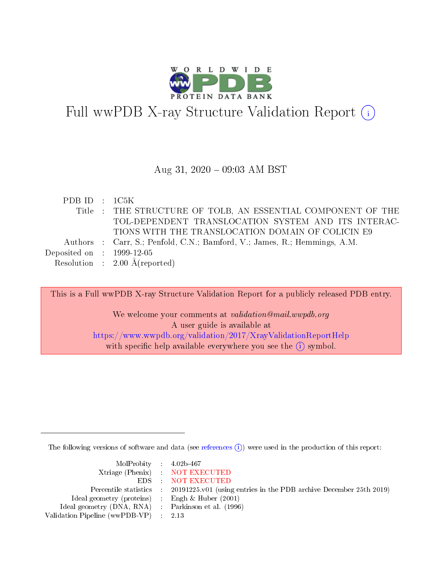

# Full wwPDB X-ray Structure Validation Report  $(i)$

#### Aug 31,  $2020 - 09:03$  AM BST

| PDBID : 1C5K                |                                                                           |
|-----------------------------|---------------------------------------------------------------------------|
|                             | Title : THE STRUCTURE OF TOLB, AN ESSENTIAL COMPONENT OF THE              |
|                             | TOL-DEPENDENT TRANSLOCATION SYSTEM AND ITS INTERAC-                       |
|                             | TIONS WITH THE TRANSLOCATION DOMAIN OF COLICIN E9                         |
|                             | Authors : Carr, S.; Penfold, C.N.; Bamford, V.; James, R.; Hemmings, A.M. |
| Deposited on : $1999-12-05$ |                                                                           |
|                             | Resolution : $2.00 \text{ Å}$ (reported)                                  |

This is a Full wwPDB X-ray Structure Validation Report for a publicly released PDB entry. We welcome your comments at validation@mail.wwpdb.org A user guide is available at <https://www.wwpdb.org/validation/2017/XrayValidationReportHelp> with specific help available everywhere you see the  $(i)$  symbol.

The following versions of software and data (see [references](https://www.wwpdb.org/validation/2017/XrayValidationReportHelp#references)  $\overline{(1)}$ ) were used in the production of this report:

| $MolProbability$ 4.02b-467                          |                                                                    |
|-----------------------------------------------------|--------------------------------------------------------------------|
|                                                     | Xtriage (Phenix) NOT EXECUTED                                      |
|                                                     | EDS : NOT EXECUTED                                                 |
| Percentile statistics :                             | 20191225.v01 (using entries in the PDB archive December 25th 2019) |
| Ideal geometry (proteins) :                         | Engh $\&$ Huber (2001)                                             |
| Ideal geometry (DNA, RNA) : Parkinson et al. (1996) |                                                                    |
| Validation Pipeline (wwPDB-VP) : 2.13               |                                                                    |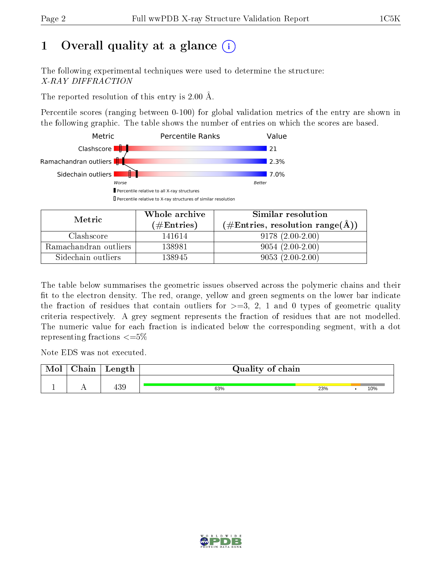# 1 [O](https://www.wwpdb.org/validation/2017/XrayValidationReportHelp#overall_quality)verall quality at a glance  $(i)$

The following experimental techniques were used to determine the structure: X-RAY DIFFRACTION

The reported resolution of this entry is 2.00 Å.

Percentile scores (ranging between 0-100) for global validation metrics of the entry are shown in the following graphic. The table shows the number of entries on which the scores are based.



| Metric                | Whole archive<br>(# $\rm{Entries}$ ) | Similar resolution<br>(#Entries, resolution range( $\AA$ ) |
|-----------------------|--------------------------------------|------------------------------------------------------------|
| Clashscore            | 141614                               | $9178(2.00-2.00)$                                          |
| Ramachandran outliers | 138981                               | $9054(2.00-2.00)$                                          |
| Sidechain outliers    | 138945                               | $9053(2.00-2.00)$                                          |

The table below summarises the geometric issues observed across the polymeric chains and their fit to the electron density. The red, orange, yellow and green segments on the lower bar indicate the fraction of residues that contain outliers for  $\geq=3$ , 2, 1 and 0 types of geometric quality criteria respectively. A grey segment represents the fraction of residues that are not modelled. The numeric value for each fraction is indicated below the corresponding segment, with a dot representing fractions  $\leq=5\%$ 

Note EDS was not executed.

| Mol | ${\rm Chain}$ | Length     | Quality of chain |     |  |     |  |
|-----|---------------|------------|------------------|-----|--|-----|--|
|     |               | ∩ים<br>409 | 63%              | 23% |  | 10% |  |

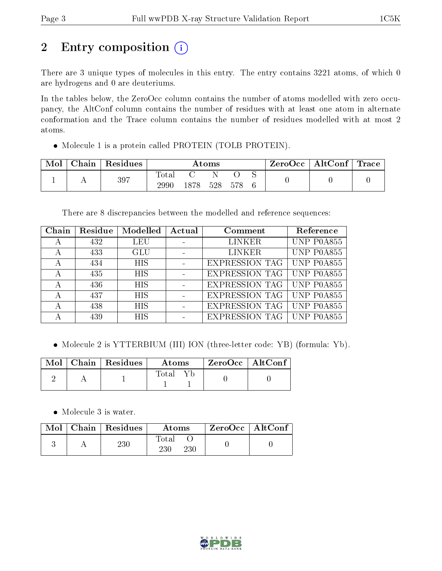# 2 Entry composition (i)

There are 3 unique types of molecules in this entry. The entry contains 3221 atoms, of which 0 are hydrogens and 0 are deuteriums.

In the tables below, the ZeroOcc column contains the number of atoms modelled with zero occupancy, the AltConf column contains the number of residues with at least one atom in alternate conformation and the Trace column contains the number of residues modelled with at most 2 atoms.

• Molecule 1 is a protein called PROTEIN (TOLB PROTEIN).

| Mol | Chain | $\mid$ Residues | $\rm{Atoms}$  |      |     | $\text{ZeroOcc}$   AltConf   Trace |  |  |  |
|-----|-------|-----------------|---------------|------|-----|------------------------------------|--|--|--|
|     |       | 397             | Total<br>2990 | 1878 | 528 | 578                                |  |  |  |

There are 8 discrepancies between the modelled and reference sequences:

| Chain | Residue | Modelled   | Actual | Comment               | Reference  |
|-------|---------|------------|--------|-----------------------|------------|
| А     | 432     | <b>LEU</b> |        | <b>LINKER</b>         | UNP P0A855 |
| А     | 433     | <b>GLU</b> |        | <b>LINKER</b>         | UNP P0A855 |
| А     | 434     | <b>HIS</b> |        | <b>EXPRESSION TAG</b> | UNP P0A855 |
| А     | 435     | <b>HIS</b> |        | <b>EXPRESSION TAG</b> | UNP P0A855 |
| А     | 436     | <b>HIS</b> |        | <b>EXPRESSION TAG</b> | UNP P0A855 |
| А     | 437     | <b>HIS</b> |        | <b>EXPRESSION TAG</b> | UNP P0A855 |
| А     | 438     | <b>HIS</b> |        | <b>EXPRESSION TAG</b> | UNP P0A855 |
| А     | 439     | <b>HIS</b> |        | <b>EXPRESSION TAG</b> | UNP P0A855 |

• Molecule 2 is YTTERBIUM (III) ION (three-letter code: YB) (formula: Yb).

|  | $\text{Mol}$   Chain   Residues | Atoms. | $\mid$ ZeroOcc $\mid$ AltConf |  |
|--|---------------------------------|--------|-------------------------------|--|
|  |                                 | Total  |                               |  |

Molecule 3 is water.

| Mol | Chain   Residues | Atoms               | ZeroOcc   AltConf |  |
|-----|------------------|---------------------|-------------------|--|
|     | 230              | Total<br>230<br>230 |                   |  |

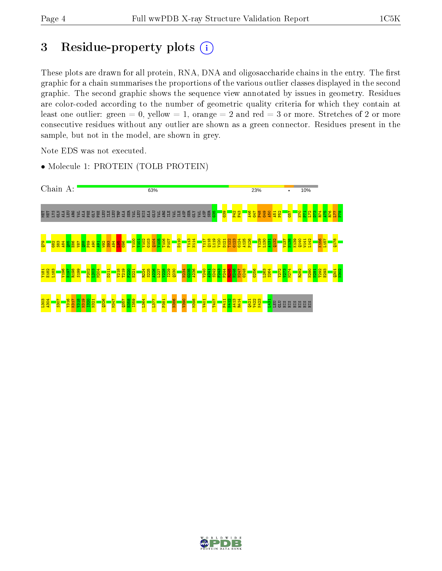# 3 Residue-property plots  $(i)$

These plots are drawn for all protein, RNA, DNA and oligosaccharide chains in the entry. The first graphic for a chain summarises the proportions of the various outlier classes displayed in the second graphic. The second graphic shows the sequence view annotated by issues in geometry. Residues are color-coded according to the number of geometric quality criteria for which they contain at least one outlier: green  $= 0$ , yellow  $= 1$ , orange  $= 2$  and red  $= 3$  or more. Stretches of 2 or more consecutive residues without any outlier are shown as a green connector. Residues present in the sample, but not in the model, are shown in grey.

Note EDS was not executed.

• Molecule 1: PROTEIN (TOLB PROTEIN)



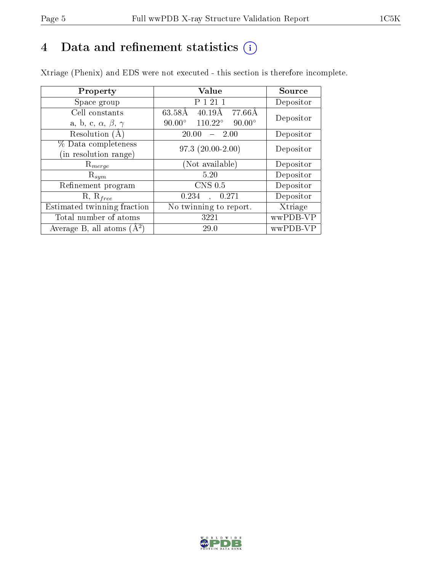# 4 Data and refinement statistics  $(i)$

Xtriage (Phenix) and EDS were not executed - this section is therefore incomplete.

| Property                               | Value                                              | Source    |  |
|----------------------------------------|----------------------------------------------------|-----------|--|
| Space group                            | P 1 21 1                                           | Depositor |  |
| Cell constants                         | 63.58Å<br>$40.19\text{\AA}$<br>-77.66Å             | Depositor |  |
| a, b, c, $\alpha$ , $\beta$ , $\gamma$ | $110.22^{\circ}$<br>$90.00^\circ$<br>$90.00^\circ$ |           |  |
| Resolution (A)                         | 20.00<br>$-2.00$                                   | Depositor |  |
| % Data completeness                    | $97.3(20.00-2.00)$                                 | Depositor |  |
| (in resolution range)                  |                                                    |           |  |
| $\mathrm{R}_{merge}$                   | (Not available)                                    | Depositor |  |
| $\mathrm{R}_{sym}$                     | 5.20                                               | Depositor |  |
| Refinement program                     | $CNS$ 0.5                                          | Depositor |  |
| $R, R_{free}$                          | 0.234<br>0.271                                     | Depositor |  |
| Estimated twinning fraction            | No twinning to report.                             | Xtriage   |  |
| Total number of atoms                  | 3221                                               | wwPDB-VP  |  |
| Average B, all atoms $(A^2)$           | 29.0                                               | wwPDB-VP  |  |

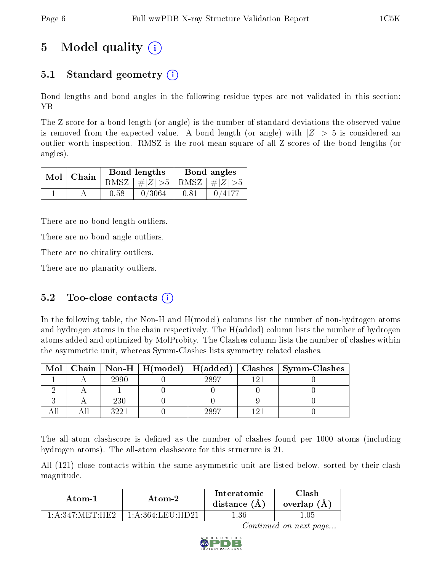# 5 Model quality  $(i)$

## 5.1 Standard geometry  $\overline{()}$

Bond lengths and bond angles in the following residue types are not validated in this section: YB

The Z score for a bond length (or angle) is the number of standard deviations the observed value is removed from the expected value. A bond length (or angle) with  $|Z| > 5$  is considered an outlier worth inspection. RMSZ is the root-mean-square of all Z scores of the bond lengths (or angles).

|  | $Mol$   Chain |      | <b>Bond lengths</b>             | Bond angles |        |  |
|--|---------------|------|---------------------------------|-------------|--------|--|
|  |               |      | RMSZ $ #Z  > 5$ RMSZ $ #Z  > 5$ |             |        |  |
|  |               | 0.58 | 0/3064                          | 0.81        | 0/4177 |  |

There are no bond length outliers.

There are no bond angle outliers.

There are no chirality outliers.

There are no planarity outliers.

### 5.2 Too-close contacts  $(i)$

In the following table, the Non-H and H(model) columns list the number of non-hydrogen atoms and hydrogen atoms in the chain respectively. The H(added) column lists the number of hydrogen atoms added and optimized by MolProbity. The Clashes column lists the number of clashes within the asymmetric unit, whereas Symm-Clashes lists symmetry related clashes.

| Mol |      |      | Chain   Non-H   H(model)   H(added)   Clashes   Symm-Clashes |
|-----|------|------|--------------------------------------------------------------|
|     | 2990 | 2897 |                                                              |
|     |      |      |                                                              |
|     | 230  |      |                                                              |
|     | 3991 | 2897 |                                                              |

The all-atom clashscore is defined as the number of clashes found per 1000 atoms (including hydrogen atoms). The all-atom clashscore for this structure is 21.

All (121) close contacts within the same asymmetric unit are listed below, sorted by their clash magnitude.

| Atom-1                              | Atom-2 | Interatomic<br>distance $(A)$ | Clash<br>overlap $(A)$ |
|-------------------------------------|--------|-------------------------------|------------------------|
| $1:$ A $:347:$ MET $\cdot$ HF $2$ . |        | 1.36                          | .05                    |

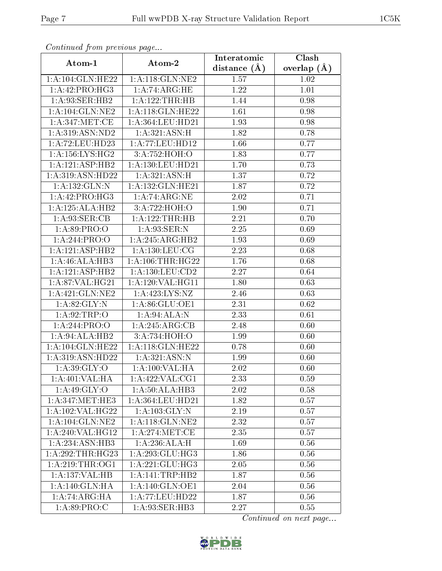| Continuea from previous page                 |                                               | Interatomic       | Clash         |  |
|----------------------------------------------|-----------------------------------------------|-------------------|---------------|--|
| Atom-1                                       | Atom-2                                        | distance $(A)$    | overlap $(A)$ |  |
| 1:A:104:GLN:HE22                             | 1: A:118: GLN: NE2                            | 1.57              | 1.02          |  |
| 1:A:42:PRO:HG3                               | 1:A:74:ARG:HE                                 | $\overline{1.22}$ | $1.01\,$      |  |
| 1: A:93: SER:HB2                             | 1:A:122:THR:HB                                | 1.44              | 0.98          |  |
| 1: A: 104: GLN: NE2                          | 1:A:118:GLN:HE22                              | 1.61              | 0.98          |  |
| 1:A:347:MET:CE                               | 1: A: 364: LEU: HD21                          | 1.93              | 0.98          |  |
| 1: A:319: ASN:ND2                            | 1: A:321: ASN:H                               | 1.82              | 0.78          |  |
| 1: A:72:LEU:HD23                             | 1:A:77:LEU:HDI2                               | 1.66              | 0.77          |  |
| 1:A:156:LYS:HG2                              | 3:A:752:HOH:O                                 | 1.83              | 0.77          |  |
| 1:A:121:ASP:HB2                              | 1:A:130:LEU:HD21                              | 1.70              | 0.73          |  |
| 1:A:319:ASN:HD22                             | 1: A:321: ASN:H                               | 1.37              | 0.72          |  |
| 1:A:132:GLN:N                                | 1:A:132:GLN:HE21                              | 1.87              | 0.72          |  |
| 1:A:42:PRO:HG3                               | 1:A:74:ARG:NE                                 | $\overline{2.02}$ | 0.71          |  |
| 1:A:125:ALA:HB2                              | 3:A:722:HOH:O                                 | 1.90              | 0.71          |  |
| 1: A:93: SER:CB                              | 1:A:122:THR:HB                                | 2.21              | 0.70          |  |
| 1: A:89: PRO:O                               | 1:A:93:SER:N                                  | 2.25              | 0.69          |  |
| 1:A:244:PRO:O                                | 1:A:245:ARG:HB2                               | 1.93              | 0.69          |  |
| 1:A:121:ASP:HB2                              | $1: A: 130: \overline{\text{LEU}: \text{CG}}$ | 2.23              | 0.68          |  |
| 1:A:46:ALA:HB3                               | 1: A:106:THR:HG22                             | 1.76              | 0.68          |  |
| 1:A:121:ASP:HB2                              | $1:$ A:130:LEU: $CD2$                         | 2.27              | 0.64          |  |
| 1: A:87: VAL:HG21                            | 1: A:120: VAL:HGI1                            | 1.80              | 0.63          |  |
| 1:A:421:GLN:NE2                              | 1:A:423:LYS:NZ                                | 2.46              | 0.63          |  |
| 1: A:82: GLY:N                               | 1:A:86:GLU:OE1                                | 2.31              | 0.62          |  |
| 1: A:92:TRP:O                                | $1:A:94:ALA:\overline{A:}\overline{N}$        | 2.33              | 0.61          |  |
| 1:A:244:PRO:O                                | 1: A:245: ARG:CB                              | 2.48              | 0.60          |  |
| 1:A:94:ALA:HB2                               | 3:A:734:HOH:O                                 | 1.99              | 0.60          |  |
| 1:A:104:GLN:HE22                             | 1:A:118:GLN:HE22                              | 0.78              | 0.60          |  |
| 1:A:319:ASN:HD22                             | 1: A:321: ASN:N                               | 1.99              | 0.60          |  |
| 1:A:39:GLY:O                                 | 1:A:100:VAL:HA                                | 2.02              | 0.60          |  |
| 1:A:401:VAL:HA                               | 1:A:422:VAL:CG1                               | 2.33              | 0.59          |  |
| 1:A:49:GLY:O                                 | 1: A:50:ALA:HB3                               | 2.02              | 0.58          |  |
| $1: A:347: \overline{\text{MET}:\text{HE}3}$ | 1: A: 364: LEU: HD21                          | 1.82              | 0.57          |  |
| 1: A: 102: VAL:HG22                          | 1: A: 103: GLY:N                              | 2.19              | 0.57          |  |
| 1: A: 104: GLN: NE2                          | 1: A:118: GLN:NE2                             | 2.32              | 0.57          |  |
| 1:A:240:VAL:HG12                             | 1: A:274:MET:CE                               | 2.35              | 0.57          |  |
| 1: A:234: ASN:HB3                            | 1:A:236:ALA:H                                 | 1.69              | 0.56          |  |
| 1:A:292:THR:HG23                             | 1:A:293:GLU:HG3                               | 1.86              | 0.56          |  |
| 1: A:219:THR:OG1                             | $1:\!A:\!221:\!GLU:\!\overline{\mathrm{HG3}}$ | 2.05              | 0.56          |  |
| 1:A:137:VAL:HB                               | 1: A:141:TRP:HB2                              | 1.87              | 0.56          |  |
| 1: A:140: GLN: HA                            | 1: A:140: GLN:OE1                             | 2.04              | 0.56          |  |
| $1:A:74:ARG:\overline{HA}$                   | 1:A:77:LEU:HD22                               | 1.87              | 0.56          |  |
| 1: A:89: PRO:C                               | 1:A:93:SER:HB3                                | 2.27              | 0.55          |  |

Continued from previous page.

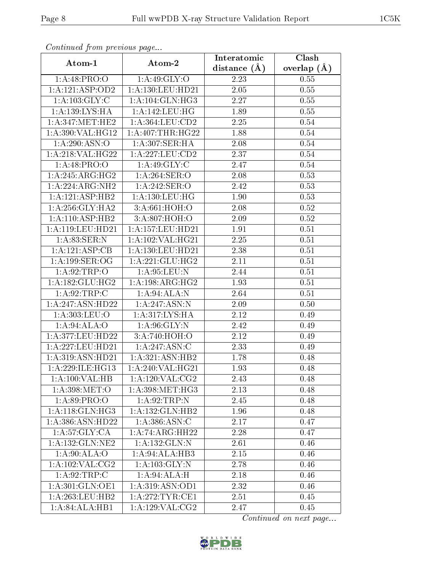| Continuati pont previous page |                      | Interatomic       | Clash           |  |
|-------------------------------|----------------------|-------------------|-----------------|--|
| Atom-1                        | Atom-2               | distance $(A)$    | overlap $(\AA)$ |  |
| 1:A:48:PRO:O                  | 1: A:49: GLY:O       | 2.23              | 0.55            |  |
| 1:A:121:ASP:OD2               | 1:A:130:LEU:HD21     | 2.05              | 0.55            |  |
| 1: A: 103: GLY: C             | 1:A:104:GLN:HG3      | 2.27              | 0.55            |  |
| 1:A:139:LYS:HA                | 1: A:142:LEU:HG      | 1.89              | 0.55            |  |
| 1: A:347: MET:HE2             | 1: A: 364: LEU: CD2  | 2.25              | $0.54\,$        |  |
| 1: A:390: VAL:HG12            | 1: A:407:THR:HG22    | 1.88              | 0.54            |  |
| 1:A:290:ASN:O                 | 1: A:307: SER: HA    | 2.08              | 0.54            |  |
| 1:A:218:VAL:H G22             | 1: A: 227: LEU: CD2  | 2.37              | 0.54            |  |
| 1:A:48:PRO:O                  | 1: A:49: GLY:C       | 2.47              | 0.54            |  |
| 1:A:245:ARG:HG2               | 1:A:264:SER:O        | 2.08              | 0.53            |  |
| 1:A:224:ARG:NH2               | 1: A:242: SER: O     | 2.42              | 0.53            |  |
| 1:A:121:ASP:HB2               | 1: A: 130: LEU: HG   | 1.90              | 0.53            |  |
| 1: A:256: GLY:HA2             | 3:A:661:HOH:O        | 2.08              | 0.52            |  |
| 1: A:110: ASP:HB2             | 3:A:807:HOH:O        | 2.09              | 0.52            |  |
| $1:$ A:119:LEU:HD21           | 1:A:157:LEU:HD21     | 1.91              | 0.51            |  |
| 1: A:83: SER: N               | 1: A: 102: VAL: HG21 | 2.25              | 0.51            |  |
| 1:A:121:ASP:CB                | 1:A:130:LEU:HD21     | 2.38              | 0.51            |  |
| 1:A:199:SER:OG                | 1:A:221:GLU:HG2      | 2.11              | 0.51            |  |
| 1:A:92:TRP:O                  | 1:A:95:LEU:N         | 2.44              | 0.51            |  |
| 1: A: 182: GLU: HG2           | 1: A:198: ARG: HG2   | 1.93              | 0.51            |  |
| 1: A:92:TRP:C                 | 1: A:94:ALA:N        | 2.64              | 0.51            |  |
| 1:A:247:ASN:HD22              | 1: A:247: ASN:N      | 2.09              | 0.50            |  |
| 1:A:303:LEU:O                 | 1:A:317:LYS:HA       | 2.12              | 0.49            |  |
| 1: A:94: ALA:O                | 1: A:96: GLY:N       | 2.42              | 0.49            |  |
| 1:A:377:LEU:HD22              | 3:A:740:HOH:O        | 2.12              | 0.49            |  |
| 1:A:227:LEU:HD21              | 1:A:247:ASN:C        | $\overline{2}.33$ | 0.49            |  |
| 1:A:319:ASN:HD21              | 1:A:321:ASN:HB2      | 1.78              | 0.48            |  |
| 1:A:229:ILE:HG13              | 1: A:240: VAL:HG21   | 1.93              | 0.48            |  |
| 1:A:100:VAL:HB                | 1: A:120: VAL: CG2   | 2.43              | 0.48            |  |
| 1: A:398:MET:O                | 1: A:398:MET:HG3     | 2.13              | 0.48            |  |
| 1: A:89: PRO:O                | 1:A:92:TRP:N         | 2.45              | 0.48            |  |
| 1: A:118: GLN: HG3            | 1:A:132:GLN:HB2      | 1.96              | 0.48            |  |
| 1:A:386:ASN:HD22              | 1: A: 386: ASN: C    | 2.17              | 0.47            |  |
| 1: A:57: GLY:CA               | 1:A:74:ARG:HH22      | 2.28              | 0.47            |  |
| 1: A: 132: GLN: NE2           | 1:A:132:GLN:N        | 2.61              | 0.46            |  |
| 1: A:90:ALA:O                 | 1:A:94:ALA:HB3       | 2.15              | 0.46            |  |
| 1: A: 102: VAL: CG2           | 1: A: 103: GLY: N    | 2.78              | 0.46            |  |
| 1: A:92:TRP:C                 | 1:A:94:ALA:H         | 2.18              | 0.46            |  |
| 1:A:301:GLN:OE1               | 1: A:319: ASN:OD1    | 2.32              | 0.46            |  |
| 1: A:263:LEU:HB2              | 1: A:272:TYR:CE1     | 2.51              | 0.45            |  |
| 1:A:84:ALA:HB1                | 1:A:129:VAL:CG2      | 2.47              | 0.45            |  |

Continued from previous page.

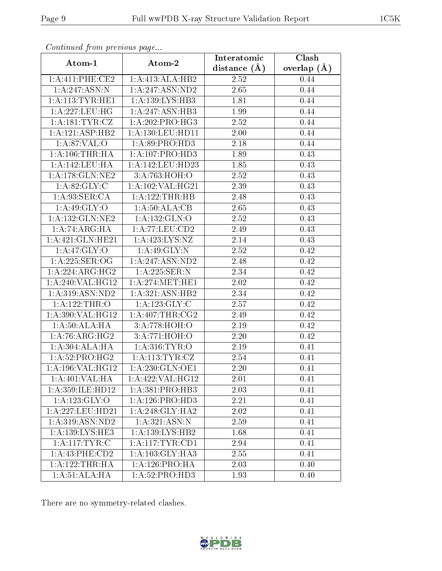| Communica from precious page                 |                              | Interatomic    | Clash         |
|----------------------------------------------|------------------------------|----------------|---------------|
| Atom-1                                       | Atom-2                       | distance $(A)$ | overlap $(A)$ |
| 1:A:411:PHE:CE2                              | 1:A:413:ALA:HB2              | 2.52           | 0.44          |
| 1:A:247:ASN:N                                | 1: A:247: ASN:ND2            | 2.65           | 0.44          |
| 1: A:113: TYR: HE1                           | 1: A: 139: LYS: HB3          | 1.81           | 0.44          |
| 1: A:227:LEU:HG                              | 1:A:247:ASN:HB3              | 1.99           | 0.44          |
| $1: A:181: \overline{\text{TYR}: \text{CZ}}$ | $1:A:202:PRO:\overline{HG3}$ | 2.52           | 0.44          |
| 1:A:121:ASP:HB2                              | 1:A:130:LEU:HD11             | 2.00           | 0.44          |
| 1: A:87: VAL:O                               | 1: A:89: PRO:HD3             | 2.18           | 0.44          |
| 1: A:106:THR:HA                              | 1: A:107: PRO:HD3            | 1.89           | 0.43          |
| 1:A:142:LEU:HA                               | 1:A:142:LEU:HD23             | 1.85           | 0.43          |
| 1: A:178: GLN:NE2                            | 3:A:763:HOH:O                | 2.52           | 0.43          |
| 1: A:82: GLY: C                              | 1:A:102:VAL:HG21             | 2.39           | 0.43          |
| 1: A:93: SER:CA                              | 1:A:122:THR:HB               | 2.48           | 0.43          |
| 1: A:49: GLY:O                               | 1:A:50:ALA:CB                | 2.65           | 0.43          |
| 1:A:132:GLN:NE2                              | 1: A: 132: GLN:O             | 2.52           | 0.43          |
| 1:A:74:ARG:HA                                | 1:A:77:LEU:CD2               | 2.49           | 0.43          |
| 1:A:421:GLN:HE21                             | 1: A: 423: LYS: NZ           | 2.14           | 0.43          |
| 1:A:47:GLY:O                                 | 1:A:49:GLY:N                 | 2.52           | 0.42          |
| 1:A:225:SER:OG                               | 1:A:247:ASN:ND2              | 2.48           | 0.42          |
| 1:A:224:ARG:HG2                              | 1:A:225:SER:N                | 2.34           | 0.42          |
| 1:A:240:VAL:HG12                             | 1: A:274:MET:HE1             | 2.02           | 0.42          |
| 1: A:319: ASN: ND2                           | 1:A:321:ASN:HB2              | 2.34           | 0.42          |
| 1:A:122:THR:O                                | 1:A:123:GLY:C                | 2.57           | 0.42          |
| 1: A:390: VAL:HG12                           | 1: A:407:THR:CG2             | 2.49           | 0.42          |
| 1:A:50:ALA:HA                                | 3:A:778:HOH:O                | 2.19           | 0.42          |
| 1:A:76:ARG:HG2                               | 3:A:771:HOH:O                | 2.20           | 0.42          |
| 1:A:304:ALA:HA                               | 1: A:316: TYR:O              | 2.19           | 0.41          |
| 1: A:52: PRO:HG2                             | 1: A:113: TYR: CZ            | 2.54           | 0.41          |
| 1:A:196:VAL:HG12                             | 1: A:230: GLN:OE1            | 2.20           | 0.41          |
| 1: A:401:VAL:HA                              | 1:A:422:VAL:HG12             | 2.01           | 0.41          |
| 1:A:359:ILE:HD12                             | 1:A:381:PRO:HB3              | 2.03           | 0.41          |
| 1:A:123:GLY:O                                | 1: A:126: PRO:HD3            | 2.21           | 0.41          |
| 1:A:227:LEU:HD21                             | 1: A:248: GLY:HA2            | 2.02           | 0.41          |
| 1:A:319:ASN:ND2                              | 1: A:321: ASN:N              | 2.59           | 0.41          |
| 1:A:139:LYS:HE3                              | 1:A:139:LYS:HB2              | 1.68           | 0.41          |
| 1: A:117: TYR: C                             | 1:A:117:TYR:CD1              | 2.94           | 0.41          |
| 1:A:43:PHE:CD2                               | 1:A:103:GLY:HA3              | 2.55           | 0.41          |
| 1:A:122:THR:HA                               | 1:A:126:PRO:HA               | 2.03           | 0.40          |
| 1:A:51:ALA:HA                                | 1:A:52:PRO:HD3               | 1.93           | 0.40          |

Continued from previous page.

There are no symmetry-related clashes.

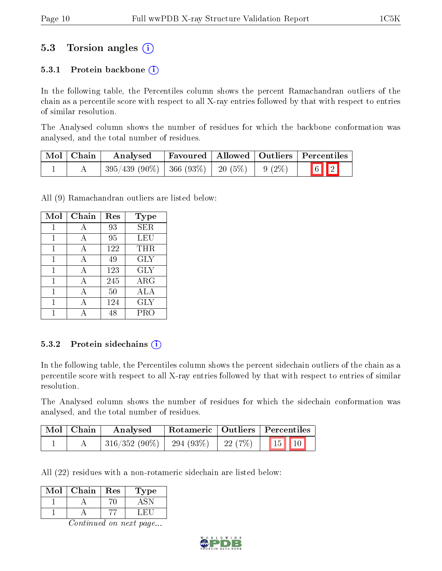### 5.3 Torsion angles (i)

#### 5.3.1 Protein backbone  $(i)$

In the following table, the Percentiles column shows the percent Ramachandran outliers of the chain as a percentile score with respect to all X-ray entries followed by that with respect to entries of similar resolution.

The Analysed column shows the number of residues for which the backbone conformation was analysed, and the total number of residues.

| Mol   Chain | Analysed                                           |  | $\mid$ Favoured $\mid$ Allowed $\mid$ Outliers $\mid$ Percentiles |
|-------------|----------------------------------------------------|--|-------------------------------------------------------------------|
|             | $395/439$ (90\%)   366 (93\%)   20 (5\%)   9 (2\%) |  | $\boxed{6}$ $\boxed{2}$                                           |

All (9) Ramachandran outliers are listed below:

| Mol | Chain | Res | Type       |
|-----|-------|-----|------------|
| 1   | А     | 93  | <b>SER</b> |
| 1   | А     | 95  | LEU        |
| 1   | А     | 122 | THR        |
| 1   | А     | 49  | <b>GLY</b> |
| 1   | A     | 123 | <b>GLY</b> |
| 1   | А     | 245 | $\rm{ARG}$ |
| 1   | А     | 50  | ALA        |
| 1   | А     | 124 | <b>GLY</b> |
|     |       | 48  | PRO        |

#### 5.3.2 Protein sidechains  $(i)$

In the following table, the Percentiles column shows the percent sidechain outliers of the chain as a percentile score with respect to all X-ray entries followed by that with respect to entries of similar resolution.

The Analysed column shows the number of residues for which the sidechain conformation was analysed, and the total number of residues.

| Mol   Chain | Analysed                                                     |  | Rotameric   Outliers   Percentiles    |
|-------------|--------------------------------------------------------------|--|---------------------------------------|
|             | $\mid 316/352 \; (90\%) \mid 294 \; (93\%) \mid 22 \; (7\%)$ |  | $\vert 15 \vert \vert 10 \vert \vert$ |

All (22) residues with a non-rotameric sidechain are listed below:

| Mol | Chain | $\operatorname{Res}$ | Type |
|-----|-------|----------------------|------|
|     |       |                      |      |
|     |       |                      |      |

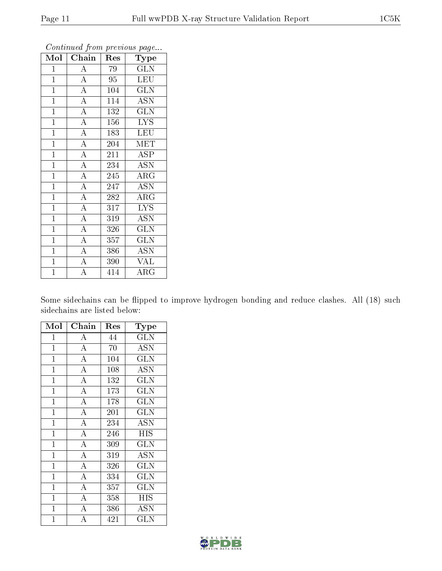| Mol            | Chain              | Res              | Type                      |
|----------------|--------------------|------------------|---------------------------|
| $\mathbf{1}$   | $\overline{A}$     | 79               | GLN                       |
| $\mathbf{1}$   | $\overline{A}$     | 95               | <b>LEU</b>                |
| $\mathbf{1}$   | $\overline{A}$     | 104              | $\overline{\text{GLN}}$   |
| $\mathbf{1}$   | $\overline{A}$     | 114              | <b>ASN</b>                |
| $\overline{1}$ | $\overline{A}$     | $\overline{1}32$ | $\overline{\text{GLN}}$   |
| $\overline{1}$ | $\overline{A}$     | 156              | <b>LYS</b>                |
| $\mathbf{1}$   | $\overline{A}$     | 183              | <b>LEU</b>                |
| $\mathbf{1}$   | $\overline{A}$     | 204              | MET                       |
| $\overline{1}$ | $\overline{\rm A}$ | 211              | <b>ASP</b>                |
| $\overline{1}$ | $\overline{A}$     | 234              | $\overline{ASN}$          |
| $\overline{1}$ | $\overline{A}$     | 245              | $\rm{ARG}$                |
| $\overline{1}$ | $\overline{A}$     | 247              | <b>ASN</b>                |
| $\mathbf{1}$   | $\overline{A}$     | 282              | $\overline{\text{ARG}}$   |
| $\overline{1}$ | $\overline{A}$     | 317              | <b>LYS</b>                |
| $\mathbf{1}$   | $\overline{A}$     | 319              | $\overline{\mathrm{ASN}}$ |
| $\mathbf{1}$   | $\overline{A}$     | 326              | <b>GLN</b>                |
| $\mathbf{1}$   | $\overline{\rm A}$ | 357              | <b>GLN</b>                |
| $\overline{1}$ | $\overline{\rm A}$ | 386              | ASN                       |
| $\mathbf{1}$   | $\overline{A}$     | 390              | <b>VAL</b>                |
| $\overline{1}$ | $\overline{\rm A}$ | 414              | $\overline{\rm{ARG}}$     |

Continued from previous page...

Some sidechains can be flipped to improve hydrogen bonding and reduce clashes. All (18) such sidechains are listed below:

| Mol            | Chain              | Res | Type       |
|----------------|--------------------|-----|------------|
| $\mathbf 1$    | $\boldsymbol{A}$   | 44  | <b>GLN</b> |
| $\overline{1}$ | $\overline{A}$     | 70  | <b>ASN</b> |
| $\overline{1}$ | $\overline{\rm A}$ | 104 | <b>GLN</b> |
| $\overline{1}$ | $\overline{\rm A}$ | 108 | <b>ASN</b> |
| $\mathbf{1}$   | $\overline{\rm A}$ | 132 | <b>GLN</b> |
| $\mathbf 1$    | $\overline{\rm A}$ | 173 | <b>GLN</b> |
| $\mathbf{1}$   | $\overline{\rm A}$ | 178 | <b>GLN</b> |
| $\overline{1}$ | $\overline{\rm A}$ | 201 | <b>GLN</b> |
| $\mathbf{1}$   | $\overline{\rm A}$ | 234 | <b>ASN</b> |
| $\overline{1}$ | $\overline{\rm A}$ | 246 | <b>HIS</b> |
| $\mathbf{1}$   | $\overline{\rm A}$ | 309 | <b>GLN</b> |
| $\mathbf{1}$   | $\overline{\rm A}$ | 319 | ASN        |
| $\mathbf{1}$   | $\overline{\rm A}$ | 326 | <b>GLN</b> |
| $\mathbf{1}$   | $\overline{A}$     | 334 | GLN        |
| $\mathbf 1$    | $\overline{\rm A}$ | 357 | <b>GLN</b> |
| $\mathbf{1}$   | $\overline{\rm A}$ | 358 | HIS        |
| $\mathbf 1$    | $\overline{\rm A}$ | 386 | <b>ASN</b> |
| $\overline{1}$ | A                  | 421 | GLN        |

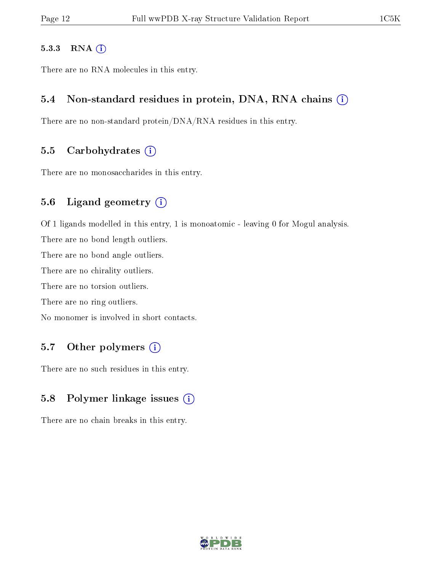#### 5.3.3 RNA (i)

There are no RNA molecules in this entry.

#### 5.4 Non-standard residues in protein, DNA, RNA chains  $(i)$

There are no non-standard protein/DNA/RNA residues in this entry.

#### 5.5 Carbohydrates  $(i)$

There are no monosaccharides in this entry.

#### 5.6 Ligand geometry (i)

Of 1 ligands modelled in this entry, 1 is monoatomic - leaving 0 for Mogul analysis.

There are no bond length outliers.

There are no bond angle outliers.

There are no chirality outliers.

There are no torsion outliers.

There are no ring outliers.

No monomer is involved in short contacts.

#### 5.7 [O](https://www.wwpdb.org/validation/2017/XrayValidationReportHelp#nonstandard_residues_and_ligands)ther polymers  $(i)$

There are no such residues in this entry.

### 5.8 Polymer linkage issues  $(i)$

There are no chain breaks in this entry.